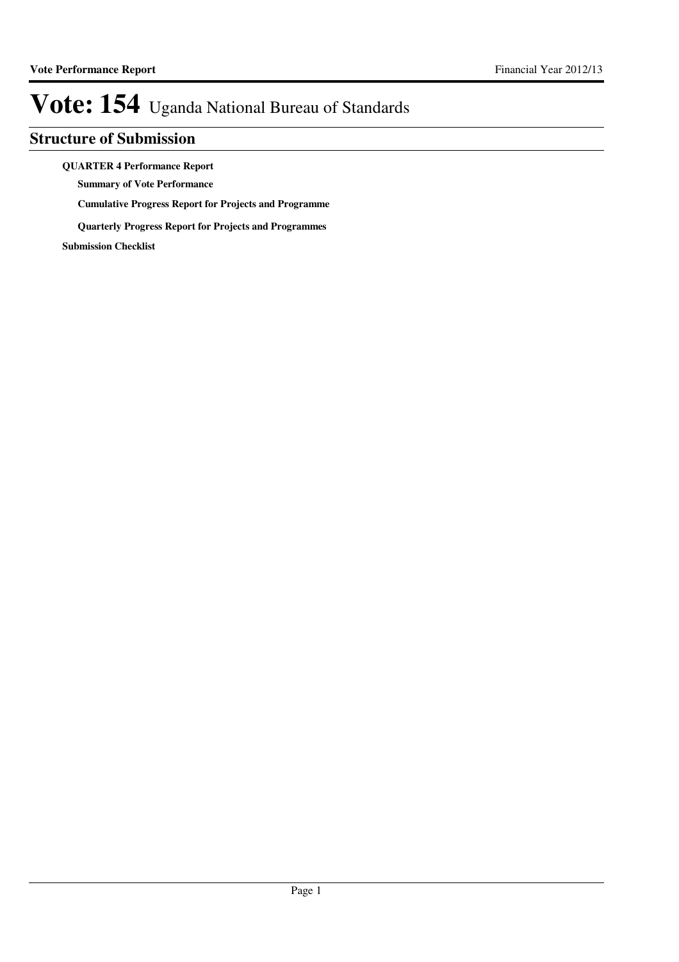## **Structure of Submission**

### **QUARTER 4 Performance Report**

**Summary of Vote Performance**

**Cumulative Progress Report for Projects and Programme**

**Quarterly Progress Report for Projects and Programmes**

**Submission Checklist**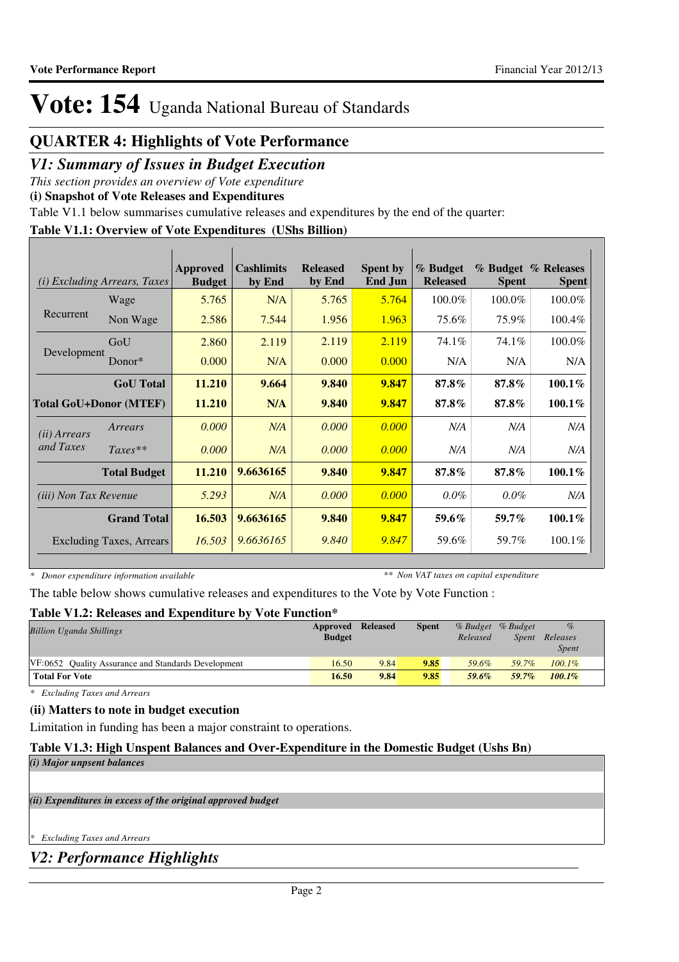## **QUARTER 4: Highlights of Vote Performance**

## *V1: Summary of Issues in Budget Execution*

*This section provides an overview of Vote expenditure* 

**(i) Snapshot of Vote Releases and Expenditures**

Table V1.1 below summarises cumulative releases and expenditures by the end of the quarter:

## **Table V1.1: Overview of Vote Expenditures (UShs Billion)**

| (i)                           | <i>Excluding Arrears, Taxes</i> | Approved<br><b>Budget</b> | <b>Cashlimits</b><br>by End | <b>Released</b><br>by End | <b>Spent by</b><br><b>End Jun</b> | % Budget<br><b>Released</b> | <b>Spent</b> | % Budget % Releases<br><b>Spent</b> |
|-------------------------------|---------------------------------|---------------------------|-----------------------------|---------------------------|-----------------------------------|-----------------------------|--------------|-------------------------------------|
|                               | Wage                            | 5.765                     | N/A                         | 5.765                     | 5.764                             | 100.0%                      | 100.0%       | 100.0%                              |
| Recurrent                     | Non Wage                        | 2.586                     | 7.544                       | 1.956                     | 1.963                             | 75.6%                       | 75.9%        | 100.4%                              |
|                               | GoU                             | 2.860                     | 2.119                       | 2.119                     | 2.119                             | 74.1%                       | 74.1%        | 100.0%                              |
| Development                   | Donor $*$                       | 0.000                     | N/A                         | 0.000                     | 0.000                             | N/A                         | N/A          | N/A                                 |
|                               | <b>GoU</b> Total                | 11.210                    | 9.664                       | 9.840                     | 9.847                             | $87.8\%$                    | $87.8\%$     | $100.1\%$                           |
| <b>Total GoU+Donor (MTEF)</b> |                                 | 11.210                    | N/A                         | 9.840                     | 9.847                             | 87.8%                       | 87.8%        | $100.1\%$                           |
| ( <i>ii</i> ) Arrears         | Arrears                         | 0.000                     | N/A                         | 0.000                     | 0.000                             | N/A                         | N/A          | N/A                                 |
| and Taxes                     | $Taxes**$                       | 0.000                     | N/A                         | 0.000                     | 0.000                             | N/A                         | N/A          | N/A                                 |
|                               | <b>Total Budget</b>             | 11.210                    | 9.6636165                   | 9.840                     | 9.847                             | 87.8%                       | 87.8%        | $100.1\%$                           |
| <i>(iii)</i> Non Tax Revenue  |                                 | 5.293                     | N/A                         | 0.000                     | 0.000                             | $0.0\%$                     | $0.0\%$      | N/A                                 |
|                               | <b>Grand Total</b>              | 16.503                    | 9.6636165                   | 9.840                     | 9.847                             | 59.6%                       | 59.7%        | $100.1\%$                           |
|                               | <b>Excluding Taxes, Arrears</b> | 16.503                    | 9.6636165                   | 9.840                     | 9.847                             | 59.6%                       | 59.7%        | 100.1%                              |

*\* Donor expenditure information available*

*\*\* Non VAT taxes on capital expenditure*

The table below shows cumulative releases and expenditures to the Vote by Vote Function :

## **Table V1.2: Releases and Expenditure by Vote Function\***

| <b>Billion Uganda Shillings</b>                     | Approved      | <b>Released</b> | <b>Spent</b> |          | % Budget % Budget | $\%$      |  |
|-----------------------------------------------------|---------------|-----------------|--------------|----------|-------------------|-----------|--|
|                                                     | <b>Budget</b> |                 |              | Released | <i>Spent</i>      | Releases  |  |
|                                                     |               |                 |              |          |                   | Spent     |  |
| VF:0652 Ouality Assurance and Standards Development | 16.50         | 9.84            | 9.85         | 59.6%    | 59.7%             | $100.1\%$ |  |
| <b>Total For Vote</b>                               | 16.50         | 9.84            | 9.85         | 59.6%    | 59.7%             | $100.1\%$ |  |

*\* Excluding Taxes and Arrears*

### **(ii) Matters to note in budget execution**

Limitation in funding has been a major constraint to operations.

## **Table V1.3: High Unspent Balances and Over-Expenditure in the Domestic Budget (Ushs Bn)**

*(i) Major unpsent balances*

*(ii) Expenditures in excess of the original approved budget*

*\* Excluding Taxes and Arrears*

*V2: Performance Highlights*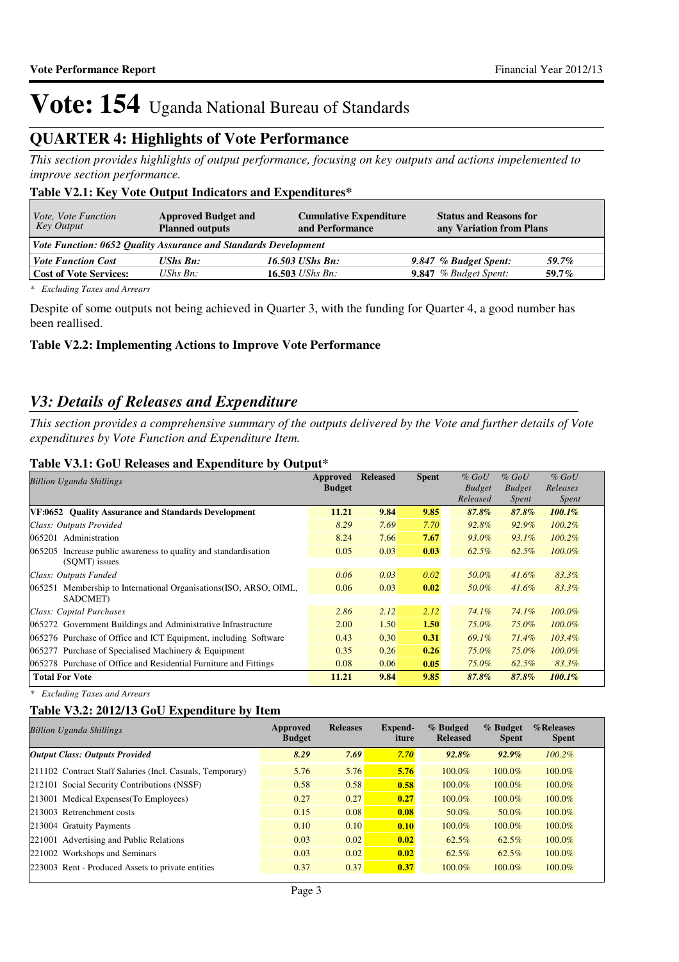## **QUARTER 4: Highlights of Vote Performance**

*This section provides highlights of output performance, focusing on key outputs and actions impelemented to improve section performance.*

## **Table V2.1: Key Vote Output Indicators and Expenditures\***

| <i>Vote, Vote Function</i><br>Key Output                        | <b>Approved Budget and</b><br><b>Planned outputs</b> | <b>Cumulative Expenditure</b><br>and Performance | <b>Status and Reasons for</b><br>any Variation from Plans |          |
|-----------------------------------------------------------------|------------------------------------------------------|--------------------------------------------------|-----------------------------------------------------------|----------|
| Vote Function: 0652 Quality Assurance and Standards Development |                                                      |                                                  |                                                           |          |
| <b>Vote Function Cost</b>                                       | UShs Bn:                                             | 16.503 UShs Bn:                                  | 9.847 % Budget Spent:                                     | 59.7%    |
| <b>Cost of Vote Services:</b>                                   | UShs $B_n$ :                                         | 16.503 <i>UShs Bn</i> :                          | <b>9.847</b> % Budget Spent:                              | $59.7\%$ |

*\* Excluding Taxes and Arrears*

Despite of some outputs not being achieved in Quarter 3, with the funding for Quarter 4, a good number has been reallised.

### **Table V2.2: Implementing Actions to Improve Vote Performance**

## *V3: Details of Releases and Expenditure*

*This section provides a comprehensive summary of the outputs delivered by the Vote and further details of Vote expenditures by Vote Function and Expenditure Item.*

### **Table V3.1: GoU Releases and Expenditure by Output\***

| <b>Billion Uganda Shillings</b>                                                     | Approved<br><b>Budget</b> | <b>Released</b> | <b>Spent</b> | $%$ GoU<br><b>Budget</b><br>Released | $%$ GoU<br><b>Budget</b><br><i>Spent</i> | $%$ GoU<br>Releases<br><i>Spent</i> |
|-------------------------------------------------------------------------------------|---------------------------|-----------------|--------------|--------------------------------------|------------------------------------------|-------------------------------------|
| VF:0652 Ouality Assurance and Standards Development                                 | 11.21                     | 9.84            | 9.85         | 87.8%                                | 87.8%                                    | $100.1\%$                           |
| Class: Outputs Provided                                                             | 8.29                      | 7.69            | 7.70         | 92.8%                                | 92.9%                                    | $100.2\%$                           |
| 065201 Administration                                                               | 8.24                      | 7.66            | 7.67         | 93.0%                                | $93.1\%$                                 | $100.2\%$                           |
| 065205<br>Increase public awareness to quality and standardisation<br>(SOMT) issues | 0.05                      | 0.03            | 0.03         | 62.5%                                | $62.5\%$                                 | $100.0\%$                           |
| Class: Outputs Funded                                                               | 0.06                      | 0.03            | 0.02         | 50.0%                                | $41.6\%$                                 | 83.3%                               |
| 065251 Membership to International Organisations (ISO, ARSO, OIML,<br>SADCMET)      | 0.06                      | 0.03            | 0.02         | 50.0%                                | $41.6\%$                                 | 83.3%                               |
| Class: Capital Purchases                                                            | 2.86                      | 2.12            | 2.12         | 74.1%                                | 74.1%                                    | $100.0\%$                           |
| 065272 Government Buildings and Administrative Infrastructure                       | 2.00                      | 1.50            | 1.50         | 75.0%                                | 75.0%                                    | $100.0\%$                           |
| 065276 Purchase of Office and ICT Equipment, including Software                     | 0.43                      | 0.30            | 0.31         | 69.1%                                | 71.4%                                    | $103.4\%$                           |
| 065277 Purchase of Specialised Machinery & Equipment                                | 0.35                      | 0.26            | 0.26         | 75.0%                                | 75.0%                                    | $100.0\%$                           |
| 065278 Purchase of Office and Residential Furniture and Fittings                    | 0.08                      | 0.06            | 0.05         | 75.0%                                | $62.5\%$                                 | 83.3%                               |
| <b>Total For Vote</b>                                                               | 11.21                     | 9.84            | 9.85         | 87.8%                                | 87.8%                                    | $100.1\%$                           |

*\* Excluding Taxes and Arrears*

## **Table V3.2: 2012/13 GoU Expenditure by Item**

| <b>Billion Uganda Shillings</b>                           | Approved<br><b>Budget</b> | <b>Releases</b> | Expend-<br>iture | % Budged<br><b>Released</b> | $%$ Budget<br><b>Spent</b> | %Releases<br><b>Spent</b> |
|-----------------------------------------------------------|---------------------------|-----------------|------------------|-----------------------------|----------------------------|---------------------------|
| <b>Output Class: Outputs Provided</b>                     | 8.29                      | 7.69            | 7.70             | $92.8\%$                    | $92.9\%$                   | $100.2\%$                 |
| 211102 Contract Staff Salaries (Incl. Casuals, Temporary) | 5.76                      | 5.76            | 5.76             | $100.0\%$                   | 100.0%                     | 100.0%                    |
| 212101 Social Security Contributions (NSSF)               | 0.58                      | 0.58            | 0.58             | 100.0%                      | 100.0%                     | 100.0%                    |
| 213001 Medical Expenses (To Employees)                    | 0.27                      | 0.27            | 0.27             | 100.0%                      | 100.0%                     | 100.0%                    |
| 213003 Retrenchment costs                                 | 0.15                      | 0.08            | 0.08             | 50.0%                       | 50.0%                      | 100.0%                    |
| 213004 Gratuity Payments                                  | 0.10                      | 0.10            | 0.10             | 100.0%                      | 100.0%                     | 100.0%                    |
| 221001 Advertising and Public Relations                   | 0.03                      | 0.02            | 0.02             | 62.5%                       | 62.5%                      | 100.0%                    |
| 221002 Workshops and Seminars                             | 0.03                      | 0.02            | 0.02             | 62.5%                       | 62.5%                      | 100.0%                    |
| 223003 Rent - Produced Assets to private entities         | 0.37                      | 0.37            | 0.37             | $100.0\%$                   | 100.0%                     | 100.0%                    |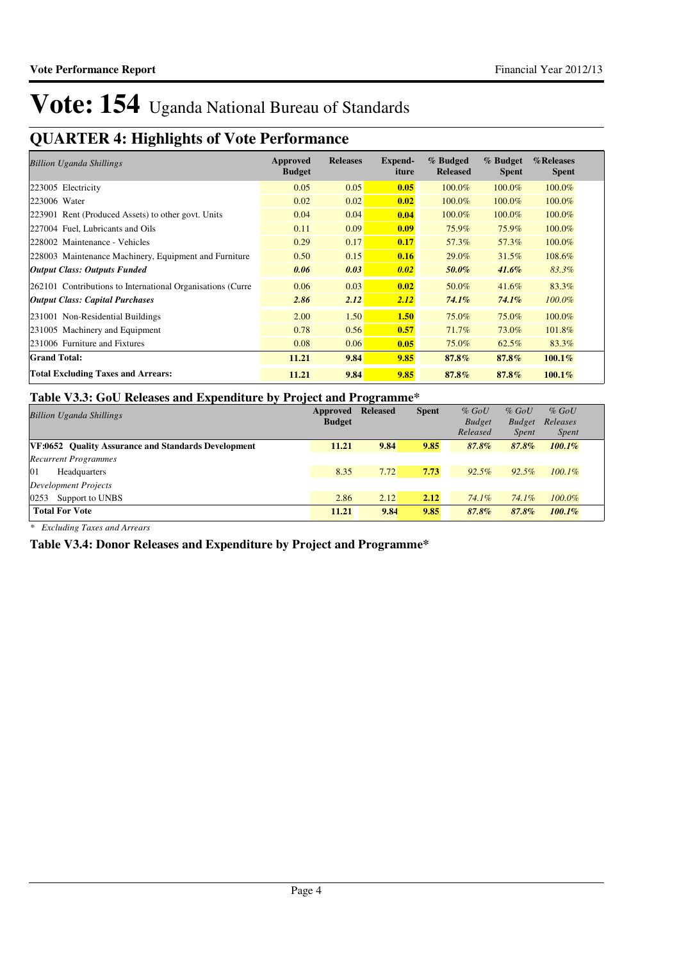# **QUARTER 4: Highlights of Vote Performance**

| <b>Billion Uganda Shillings</b>                            | Approved<br><b>Budget</b> | <b>Releases</b> | <b>Expend-</b><br>iture | % Budged<br><b>Released</b> | % Budget<br><b>Spent</b> | %Releases<br><b>Spent</b> |
|------------------------------------------------------------|---------------------------|-----------------|-------------------------|-----------------------------|--------------------------|---------------------------|
| 223005 Electricity                                         | 0.05                      | 0.05            | 0.05                    | 100.0%                      | 100.0%                   | 100.0%                    |
| 223006 Water                                               | 0.02                      | 0.02            | 0.02                    | 100.0%                      | 100.0%                   | 100.0%                    |
| 223901 Rent (Produced Assets) to other govt. Units         | 0.04                      | 0.04            | 0.04                    | 100.0%                      | 100.0%                   | 100.0%                    |
| 227004 Fuel, Lubricants and Oils                           | 0.11                      | 0.09            | 0.09                    | 75.9%                       | 75.9%                    | 100.0%                    |
| 228002 Maintenance - Vehicles                              | 0.29                      | 0.17            | 0.17                    | 57.3%                       | 57.3%                    | 100.0%                    |
| 228003 Maintenance Machinery, Equipment and Furniture      | 0.50                      | 0.15            | 0.16                    | 29.0%                       | 31.5%                    | 108.6%                    |
| <b>Output Class: Outputs Funded</b>                        | 0.06                      | 0.03            | 0.02                    | 50.0%                       | $41.6\%$                 | 83.3%                     |
| 262101 Contributions to International Organisations (Curre | 0.06                      | 0.03            | 0.02                    | 50.0%                       | $41.6\%$                 | 83.3%                     |
| <b>Output Class: Capital Purchases</b>                     | 2.86                      | 2.12            | 2.12                    | $74.1\%$                    | 74.1%                    | $100.0\%$                 |
| 231001 Non-Residential Buildings                           | 2.00                      | 1.50            | 1.50                    | 75.0%                       | $75.0\%$                 | 100.0%                    |
| 231005 Machinery and Equipment                             | 0.78                      | 0.56            | 0.57                    | 71.7%                       | 73.0%                    | 101.8%                    |
| 231006 Furniture and Fixtures                              | 0.08                      | 0.06            | 0.05                    | 75.0%                       | 62.5%                    | 83.3%                     |
| <b>Grand Total:</b>                                        | 11.21                     | 9.84            | 9.85                    | 87.8%                       | $87.8\%$                 | $100.1\%$                 |
| <b>Total Excluding Taxes and Arrears:</b>                  | 11.21                     | 9.84            | 9.85                    | 87.8%                       | 87.8%                    | $100.1\%$                 |

## **Table V3.3: GoU Releases and Expenditure by Project and Programme\***

| <b>Billion Uganda Shillings</b>                            | Approved<br><b>Budget</b> | <b>Released</b> | <b>Spent</b> | $%$ GoU<br><b>Budget</b> | $%$ GoU<br><b>Budget</b> | $%$ GoU<br>Releases |
|------------------------------------------------------------|---------------------------|-----------------|--------------|--------------------------|--------------------------|---------------------|
|                                                            |                           |                 |              | Released                 | <i>Spent</i>             | <i>Spent</i>        |
| <b>VF:0652</b> Ouality Assurance and Standards Development | 11.21                     | 9.84            | 9.85         | 87.8%                    | 87.8%                    | $100.1\%$           |
| <b>Recurrent Programmes</b>                                |                           |                 |              |                          |                          |                     |
| 01<br>Headquarters                                         | 8.35                      | 7.72            | 7.73         | $92.5\%$                 | 92.5%                    | $100.1\%$           |
| Development Projects                                       |                           |                 |              |                          |                          |                     |
| 0253<br>Support to UNBS                                    | 2.86                      | 2.12            | 2.12         | 74.1%                    | 74.1%                    | $100.0\%$           |
| <b>Total For Vote</b>                                      | 11.21                     | 9.84            | 9.85         | 87.8%                    | 87.8%                    | $100.1\%$           |

*\* Excluding Taxes and Arrears*

**Table V3.4: Donor Releases and Expenditure by Project and Programme\***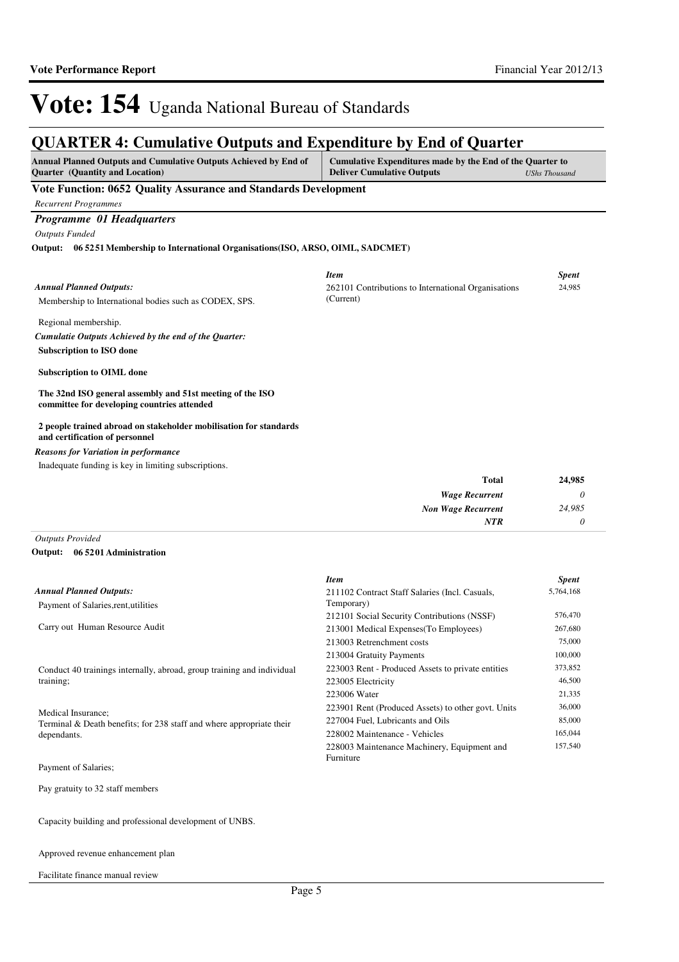## **QUARTER 4: Cumulative Outputs and Expenditure by End of Quarter**

| QUARTER 4: Cumulative Outputs and Expenditure by End of Quarter                                                                                                                                                                      |                                                     |              |
|--------------------------------------------------------------------------------------------------------------------------------------------------------------------------------------------------------------------------------------|-----------------------------------------------------|--------------|
| Annual Planned Outputs and Cumulative Outputs Achieved by End of<br>Cumulative Expenditures made by the End of the Quarter to<br><b>Ouarter</b> (Quantity and Location)<br><b>Deliver Cumulative Outputs</b><br><b>UShs Thousand</b> |                                                     |              |
| Vote Function: 0652 Quality Assurance and Standards Development                                                                                                                                                                      |                                                     |              |
| <b>Recurrent Programmes</b>                                                                                                                                                                                                          |                                                     |              |
| Programme 01 Headquarters                                                                                                                                                                                                            |                                                     |              |
| <b>Outputs Funded</b>                                                                                                                                                                                                                |                                                     |              |
| Output: 06 5251 Membership to International Organisations (ISO, ARSO, OIML, SADCMET)                                                                                                                                                 |                                                     |              |
|                                                                                                                                                                                                                                      | <b>Item</b>                                         | <b>Spent</b> |
| <b>Annual Planned Outputs:</b>                                                                                                                                                                                                       | 262101 Contributions to International Organisations | 24,985       |
| Membership to International bodies such as CODEX, SPS.                                                                                                                                                                               | (Current)                                           |              |
| Regional membership.                                                                                                                                                                                                                 |                                                     |              |
| Cumulatie Outputs Achieved by the end of the Quarter:                                                                                                                                                                                |                                                     |              |
| <b>Subscription to ISO done</b>                                                                                                                                                                                                      |                                                     |              |
| <b>Subscription to OIML done</b>                                                                                                                                                                                                     |                                                     |              |
| The 32nd ISO general assembly and 51st meeting of the ISO<br>committee for developing countries attended                                                                                                                             |                                                     |              |
| 2 people trained abroad on stakeholder mobilisation for standards<br>and certification of personnel                                                                                                                                  |                                                     |              |
| <b>Reasons for Variation in performance</b>                                                                                                                                                                                          |                                                     |              |
| Inadequate funding is key in limiting subscriptions.                                                                                                                                                                                 |                                                     |              |
|                                                                                                                                                                                                                                      | <b>Total</b>                                        | 24,985       |
|                                                                                                                                                                                                                                      | <b>Wage Recurrent</b>                               | $\theta$     |
|                                                                                                                                                                                                                                      | <b>Non Wage Recurrent</b>                           | 24,985       |
|                                                                                                                                                                                                                                      | <b>NTR</b>                                          | $\theta$     |

*Outputs Provided* **06 5201 Administration Output:**

|                                                                        | <b>Item</b>                                              | <b>Spent</b> |
|------------------------------------------------------------------------|----------------------------------------------------------|--------------|
| <b>Annual Planned Outputs:</b>                                         | 211102 Contract Staff Salaries (Incl. Casuals,           | 5,764,168    |
| Payment of Salaries, rent, utilities                                   | Temporary)                                               |              |
|                                                                        | 212101 Social Security Contributions (NSSF)              | 576,470      |
| Carry out Human Resource Audit                                         | 213001 Medical Expenses (To Employees)                   | 267,680      |
|                                                                        | 213003 Retrenchment costs                                | 75,000       |
|                                                                        | 213004 Gratuity Payments                                 | 100,000      |
| Conduct 40 trainings internally, abroad, group training and individual | 223003 Rent - Produced Assets to private entities        | 373,852      |
| training;                                                              | 223005 Electricity                                       | 46,500       |
|                                                                        | 223006 Water                                             | 21,335       |
| Medical Insurance:                                                     | 223901 Rent (Produced Assets) to other govt. Units       | 36,000       |
| Terminal & Death benefits; for 238 staff and where appropriate their   | 227004 Fuel, Lubricants and Oils                         | 85,000       |
| dependants.                                                            | 228002 Maintenance - Vehicles                            | 165,044      |
|                                                                        | 228003 Maintenance Machinery, Equipment and<br>Furniture | 157,540      |
| Payment of Salaries;                                                   |                                                          |              |

Pay gratuity to 32 staff members

Capacity building and professional development of UNBS.

Approved revenue enhancement plan

Facilitate finance manual review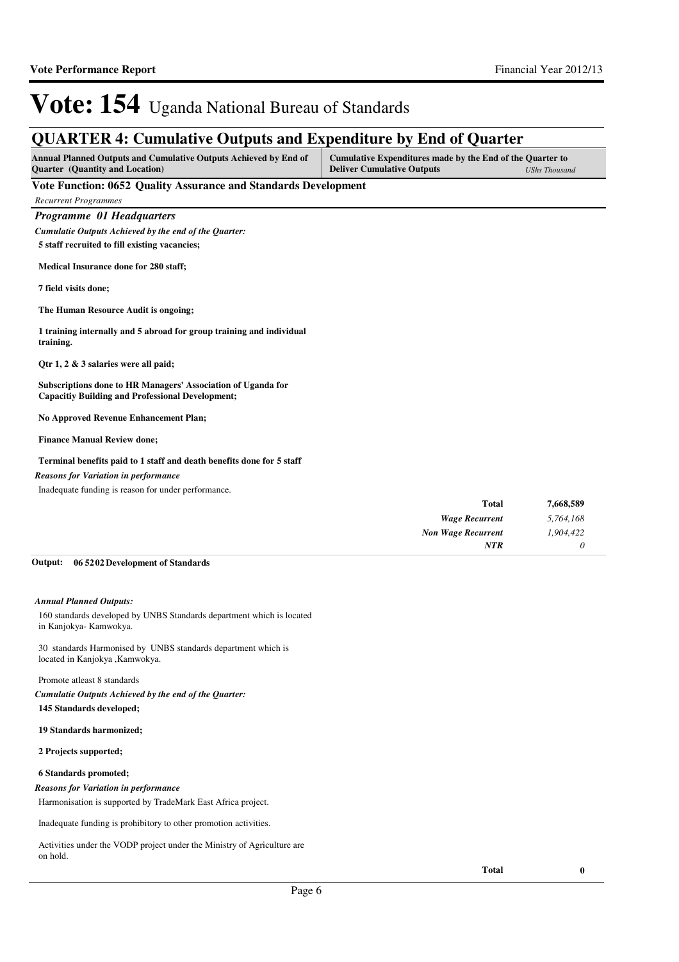# **QUARTER 4: Cumulative Outputs and Expenditure by End of Quarter**

| Annual Planned Outputs and Cumulative Outputs Achieved by End of | Cumulative Expenditures made by the End of the Quarter to |                      |
|------------------------------------------------------------------|-----------------------------------------------------------|----------------------|
| <b>Quarter</b> (Quantity and Location)                           | <b>Deliver Cumulative Outputs</b>                         | <b>UShs Thousand</b> |

### **Vote Function: 0652 Quality Assurance and Standards Development**

*Programme 01 Headquarters Cumulatie Outputs Achieved by the end of the Quarter:*

**5 staff recruited to fill existing vacancies;**

**Medical Insurance done for 280 staff;**

**7 field visits done;**

**The Human Resource Audit is ongoing;**

**1 training internally and 5 abroad for group training and individual training.** 

**Qtr 1, 2 & 3 salaries were all paid;**

**Subscriptions done to HR Managers' Association of Uganda for Capacitiy Building and Professional Development;**

**No Approved Revenue Enhancement Plan;**

**Finance Manual Review done;**

#### **Terminal benefits paid to 1 staff and death benefits done for 5 staff**

*Reasons for Variation in performance*

Inadequate funding is reason for under performance.

| 7,668,589 | <b>Total</b>              |
|-----------|---------------------------|
| 5,764,168 | <b>Wage Recurrent</b>     |
| 1,904,422 | <b>Non Wage Recurrent</b> |
|           | <b>NTR</b>                |

#### **06 5202 Development of Standards Output:**

#### *Annual Planned Outputs:*

160 standards developed by UNBS Standards department which is located in Kanjokya- Kamwokya.

30 standards Harmonised by UNBS standards department which is located in Kanjokya ,Kamwokya.

### Promote atleast 8 standards

*Cumulatie Outputs Achieved by the end of the Quarter:*

**145 Standards developed;**

**19 Standards harmonized;**

#### **2 Projects supported;**

#### **6 Standards promoted;**

#### *Reasons for Variation in performance*

Harmonisation is supported by TradeMark East Africa project.

Inadequate funding is prohibitory to other promotion activities.

Activities under the VODP project under the Ministry of Agriculture are on hold.

**Total 0**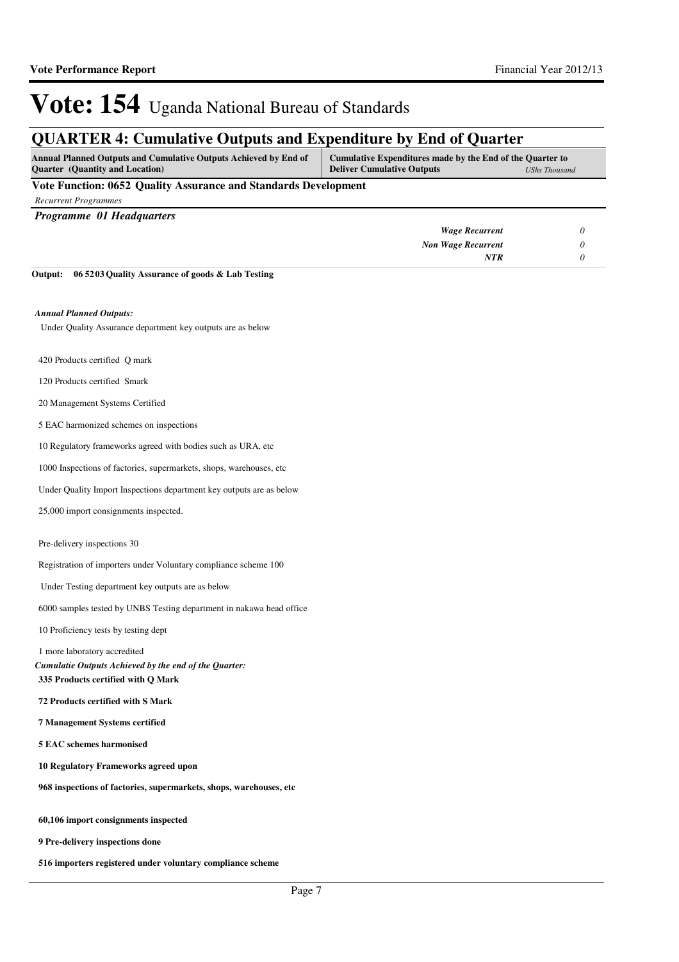# **QUARTER 4: Cumulative Outputs and Expenditure by End of Quarter**

| <b>Annual Planned Outputs and Cumulative Outputs Achieved by End of</b> | Cumulative Expenditures made by the End of the Quarter to |               |
|-------------------------------------------------------------------------|-----------------------------------------------------------|---------------|
| <b>Ouarter</b> (Quantity and Location)                                  | <b>Deliver Cumulative Outputs</b>                         | UShs Thousand |
| the company's company's com-                                            |                                                           |               |

### **Vote Function: 0652 Quality Assurance and Standards Development**

|  | <b>Recurrent Programmes</b> |
|--|-----------------------------|
|--|-----------------------------|

| <b>Programme 01 Headquarters</b> |                           |  |
|----------------------------------|---------------------------|--|
|                                  | <b>Wage Recurrent</b>     |  |
|                                  | <b>Non Wage Recurrent</b> |  |
|                                  | NTR                       |  |

**06 5203 Quality Assurance of goods & Lab Testing Output:**

#### *Annual Planned Outputs:*

Under Quality Assurance department key outputs are as below

- 420 Products certified Q mark
- 120 Products certified Smark
- 20 Management Systems Certified
- 5 EAC harmonized schemes on inspections

10 Regulatory frameworks agreed with bodies such as URA, etc

1000 Inspections of factories, supermarkets, shops, warehouses, etc

Under Quality Import Inspections department key outputs are as below

25,000 import consignments inspected.

Pre-delivery inspections 30

Registration of importers under Voluntary compliance scheme 100

Under Testing department key outputs are as below

6000 samples tested by UNBS Testing department in nakawa head office

10 Proficiency tests by testing dept

1 more laboratory accredited

**335 Products certified with Q Mark** *Cumulatie Outputs Achieved by the end of the Quarter:*

**72 Products certified with S Mark**

**7 Management Systems certified**

**5 EAC schemes harmonised**

**10 Regulatory Frameworks agreed upon**

**968 inspections of factories, supermarkets, shops, warehouses, etc**

**60,106 import consignments inspected**

**9 Pre-delivery inspections done**

**516 importers registered under voluntary compliance scheme**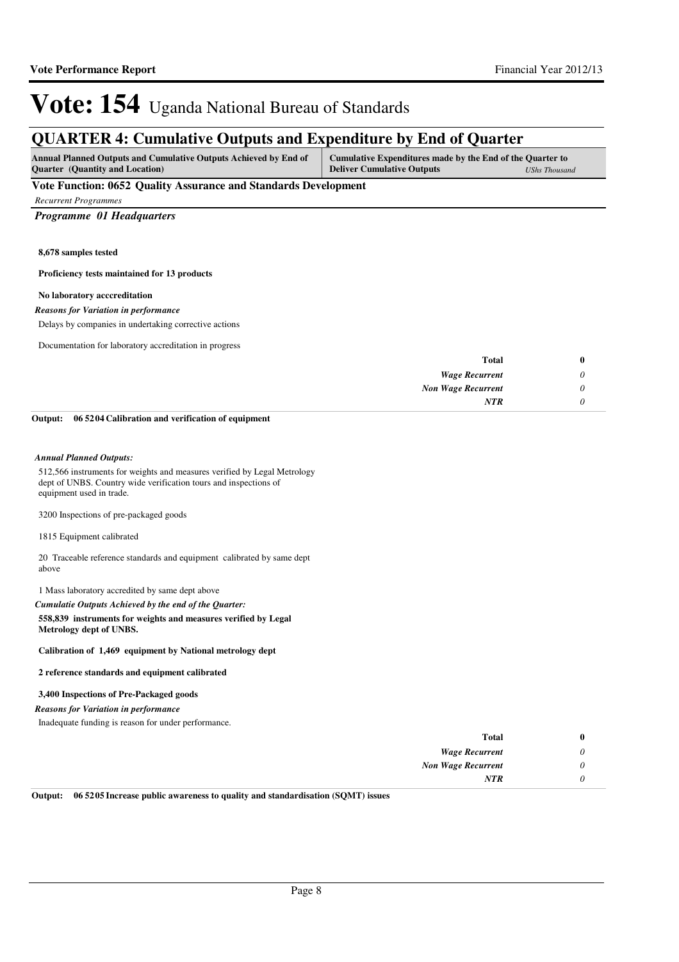## **QUARTER 4: Cumulative Outputs and Expenditure by End of Quarter**

| <b>Annual Planned Outputs and Cumulative Outputs Achieved by End of</b> | Cumulative Expenditures made by the End of the Quarter to |                      |
|-------------------------------------------------------------------------|-----------------------------------------------------------|----------------------|
| <b>Quarter</b> (Quantity and Location)                                  | <b>Deliver Cumulative Outputs</b>                         | <b>UShs Thousand</b> |

### **Vote Function: 0652 Quality Assurance and Standards Development**

*Recurrent Programmes*

### *Programme 01 Headquarters*

**8,678 samples tested** 

**Proficiency tests maintained for 13 products**

#### **No laboratory acccreditation**

*Reasons for Variation in performance*

Delays by companies in undertaking corrective actions

Documentation for laboratory accreditation in progress

| <b>Total</b>              |
|---------------------------|
| <b>Wage Recurrent</b>     |
| <b>Non Wage Recurrent</b> |
| <b>NTR</b>                |
|                           |

**06 5204 Calibration and verification of equipment Output:**

#### *Annual Planned Outputs:*

512,566 instruments for weights and measures verified by Legal Metrology dept of UNBS. Country wide verification tours and inspections of equipment used in trade.

3200 Inspections of pre-packaged goods

1815 Equipment calibrated

20 Traceable reference standards and equipment calibrated by same dept above

1 Mass laboratory accredited by same dept above

*Cumulatie Outputs Achieved by the end of the Quarter:*

**558,839 instruments for weights and measures verified by Legal Metrology dept of UNBS.**

**Calibration of 1,469 equipment by National metrology dept**

**2 reference standards and equipment calibrated**

#### **3,400 Inspections of Pre-Packaged goods**

#### *Reasons for Variation in performance*

Inadequate funding is reason for under performance.

| <b>Total</b>              | 0                         |
|---------------------------|---------------------------|
| <b>Wage Recurrent</b>     | $\boldsymbol{\mathsf{U}}$ |
| <b>Non Wage Recurrent</b> | υ                         |
| <b>NTR</b>                |                           |

**Output: 06 5205 Increase public awareness to quality and standardisation (SQMT) issues**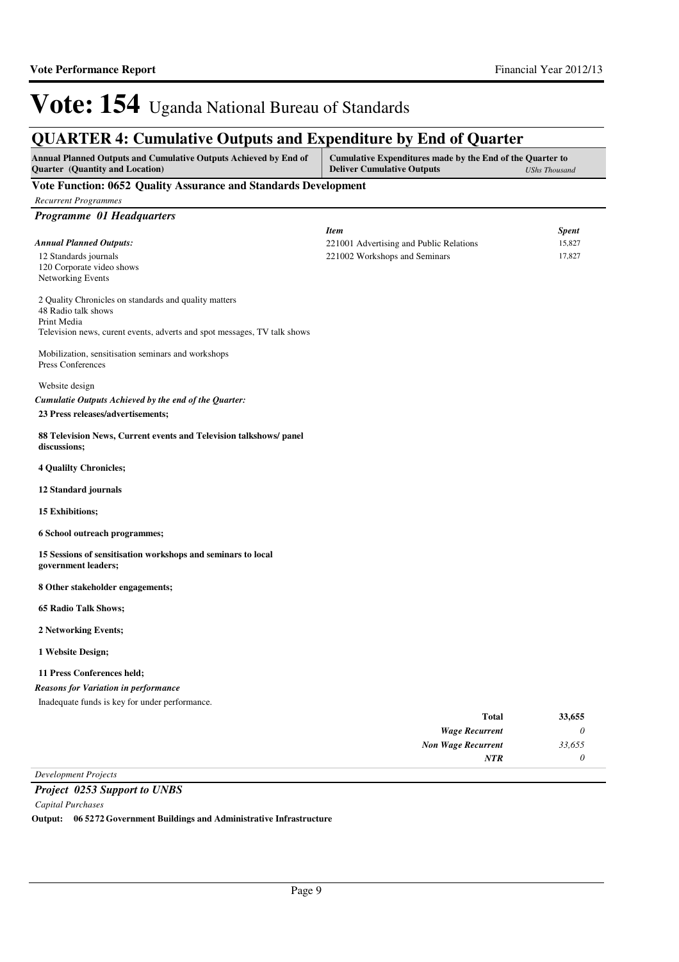| Annual Planned Outputs and Cumulative Outputs Achieved by End of<br>Cumulative Expenditures made by the End of the Quarter to<br>Quarter (Quantity and Location)<br><b>Deliver Cumulative Outputs</b> |                                         |                      |
|-------------------------------------------------------------------------------------------------------------------------------------------------------------------------------------------------------|-----------------------------------------|----------------------|
|                                                                                                                                                                                                       |                                         | <b>UShs Thousand</b> |
| Vote Function: 0652 Quality Assurance and Standards Development                                                                                                                                       |                                         |                      |
| <b>Recurrent Programmes</b>                                                                                                                                                                           |                                         |                      |
| Programme 01 Headquarters                                                                                                                                                                             |                                         |                      |
|                                                                                                                                                                                                       | <b>Item</b>                             | <b>Spent</b>         |
| <b>Annual Planned Outputs:</b>                                                                                                                                                                        | 221001 Advertising and Public Relations | 15,827               |
| 12 Standards journals<br>120 Corporate video shows                                                                                                                                                    | 221002 Workshops and Seminars           | 17,827               |
| Networking Events                                                                                                                                                                                     |                                         |                      |
| 2 Quality Chronicles on standards and quality matters                                                                                                                                                 |                                         |                      |
| 48 Radio talk shows                                                                                                                                                                                   |                                         |                      |
| Print Media                                                                                                                                                                                           |                                         |                      |
| Television news, curent events, adverts and spot messages, TV talk shows                                                                                                                              |                                         |                      |
| Mobilization, sensitisation seminars and workshops                                                                                                                                                    |                                         |                      |
| Press Conferences                                                                                                                                                                                     |                                         |                      |
| Website design                                                                                                                                                                                        |                                         |                      |
| Cumulatie Outputs Achieved by the end of the Quarter:                                                                                                                                                 |                                         |                      |
| 23 Press releases/advertisements;                                                                                                                                                                     |                                         |                      |
| 88 Television News, Current events and Television talkshows/panel                                                                                                                                     |                                         |                      |
| discussions;                                                                                                                                                                                          |                                         |                      |
| <b>4 Qualilty Chronicles;</b>                                                                                                                                                                         |                                         |                      |
| 12 Standard journals                                                                                                                                                                                  |                                         |                      |
| 15 Exhibitions;                                                                                                                                                                                       |                                         |                      |
| 6 School outreach programmes;                                                                                                                                                                         |                                         |                      |
| 15 Sessions of sensitisation workshops and seminars to local                                                                                                                                          |                                         |                      |
| government leaders;                                                                                                                                                                                   |                                         |                      |
| 8 Other stakeholder engagements;                                                                                                                                                                      |                                         |                      |
| <b>65 Radio Talk Shows;</b>                                                                                                                                                                           |                                         |                      |
| 2 Networking Events;                                                                                                                                                                                  |                                         |                      |
| 1 Website Design;                                                                                                                                                                                     |                                         |                      |
| 11 Press Conferences held;                                                                                                                                                                            |                                         |                      |
| <b>Reasons for Variation in performance</b>                                                                                                                                                           |                                         |                      |
| Inadequate funds is key for under performance.                                                                                                                                                        |                                         |                      |
|                                                                                                                                                                                                       | <b>Total</b>                            | 33,655               |
|                                                                                                                                                                                                       | <b>Wage Recurrent</b>                   | 0                    |
|                                                                                                                                                                                                       | <b>Non Wage Recurrent</b>               | 33,655               |
|                                                                                                                                                                                                       | NTR                                     | 0                    |

### *Project 0253 Support to UNBS*

*Capital Purchases*

**Output: 06 5272 Government Buildings and Administrative Infrastructure**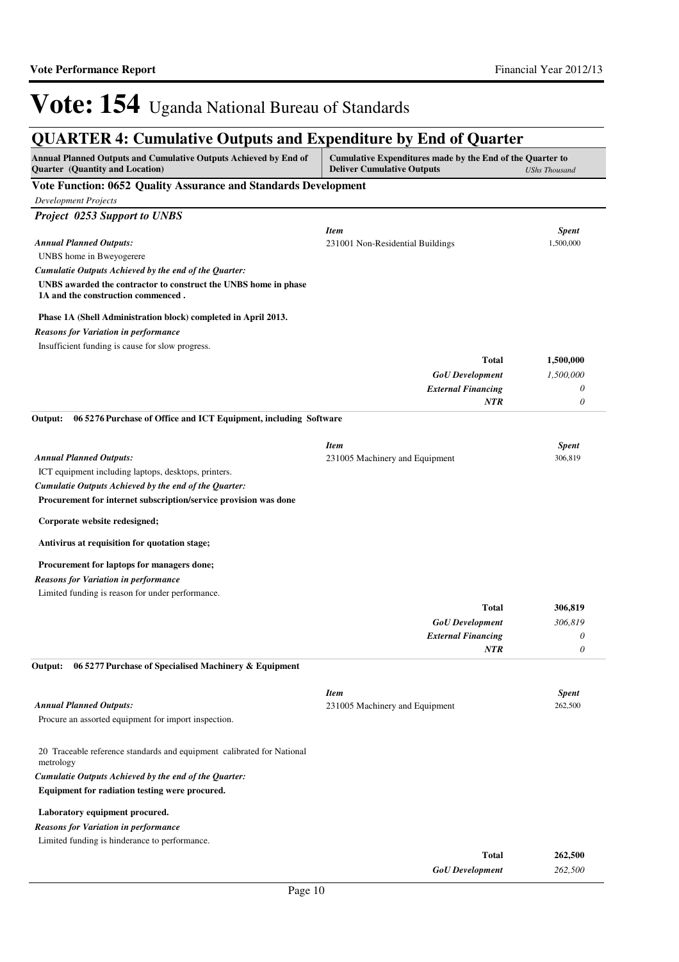# **QUARTER 4: Cumulative Outputs and Expenditure by End of Quarter**

| Annual Planned Outputs and Cumulative Outputs Achieved by End of<br>Quarter (Quantity and Location)   | Cumulative Expenditures made by the End of the Quarter to<br><b>Deliver Cumulative Outputs</b> | <b>UShs Thousand</b> |
|-------------------------------------------------------------------------------------------------------|------------------------------------------------------------------------------------------------|----------------------|
| Vote Function: 0652 Quality Assurance and Standards Development                                       |                                                                                                |                      |
| <b>Development Projects</b>                                                                           |                                                                                                |                      |
| <b>Project 0253 Support to UNBS</b>                                                                   |                                                                                                |                      |
|                                                                                                       | <b>Item</b>                                                                                    | <b>Spent</b>         |
| <b>Annual Planned Outputs:</b>                                                                        | 231001 Non-Residential Buildings                                                               | 1,500,000            |
| UNBS home in Bweyogerere                                                                              |                                                                                                |                      |
| Cumulatie Outputs Achieved by the end of the Quarter:                                                 |                                                                                                |                      |
| UNBS awarded the contractor to construct the UNBS home in phase<br>1A and the construction commenced. |                                                                                                |                      |
| Phase 1A (Shell Administration block) completed in April 2013.                                        |                                                                                                |                      |
| <b>Reasons for Variation in performance</b>                                                           |                                                                                                |                      |
| Insufficient funding is cause for slow progress.                                                      |                                                                                                |                      |
|                                                                                                       | <b>Total</b>                                                                                   | 1,500,000            |
|                                                                                                       | <b>GoU</b> Development                                                                         | 1,500,000            |
|                                                                                                       | <b>External Financing</b>                                                                      | 0                    |
|                                                                                                       | <b>NTR</b>                                                                                     | $\theta$             |
| 06 5276 Purchase of Office and ICT Equipment, including Software<br>Output:                           |                                                                                                |                      |
|                                                                                                       | <b>Item</b>                                                                                    | <b>Spent</b>         |
| <b>Annual Planned Outputs:</b>                                                                        | 231005 Machinery and Equipment                                                                 | 306,819              |
| ICT equipment including laptops, desktops, printers.                                                  |                                                                                                |                      |
| Cumulatie Outputs Achieved by the end of the Quarter:                                                 |                                                                                                |                      |
| Procurement for internet subscription/service provision was done                                      |                                                                                                |                      |
| Corporate website redesigned;                                                                         |                                                                                                |                      |
| Antivirus at requisition for quotation stage;                                                         |                                                                                                |                      |
| Procurement for laptops for managers done;                                                            |                                                                                                |                      |
| <b>Reasons for Variation in performance</b>                                                           |                                                                                                |                      |
| Limited funding is reason for under performance.                                                      |                                                                                                |                      |
|                                                                                                       | <b>Total</b>                                                                                   | 306,819              |
|                                                                                                       | <b>GoU</b> Development                                                                         | 306,819              |
|                                                                                                       | <b>External Financing</b>                                                                      | 0                    |
|                                                                                                       | <b>NTR</b>                                                                                     | $\theta$             |
| Output: 06 5277 Purchase of Specialised Machinery & Equipment                                         |                                                                                                |                      |
|                                                                                                       | <b>Item</b>                                                                                    | <b>Spent</b>         |
| <b>Annual Planned Outputs:</b>                                                                        | 231005 Machinery and Equipment                                                                 | 262,500              |
| Procure an assorted equipment for import inspection.                                                  |                                                                                                |                      |
| 20 Traceable reference standards and equipment calibrated for National<br>metrology                   |                                                                                                |                      |
| Cumulatie Outputs Achieved by the end of the Quarter:                                                 |                                                                                                |                      |
| Equipment for radiation testing were procured.                                                        |                                                                                                |                      |
| Laboratory equipment procured.                                                                        |                                                                                                |                      |
| <b>Reasons for Variation in performance</b>                                                           |                                                                                                |                      |
| Limited funding is hinderance to performance.                                                         |                                                                                                |                      |
|                                                                                                       | <b>Total</b>                                                                                   | 262,500              |
|                                                                                                       | <b>GoU</b> Development                                                                         | 262,500              |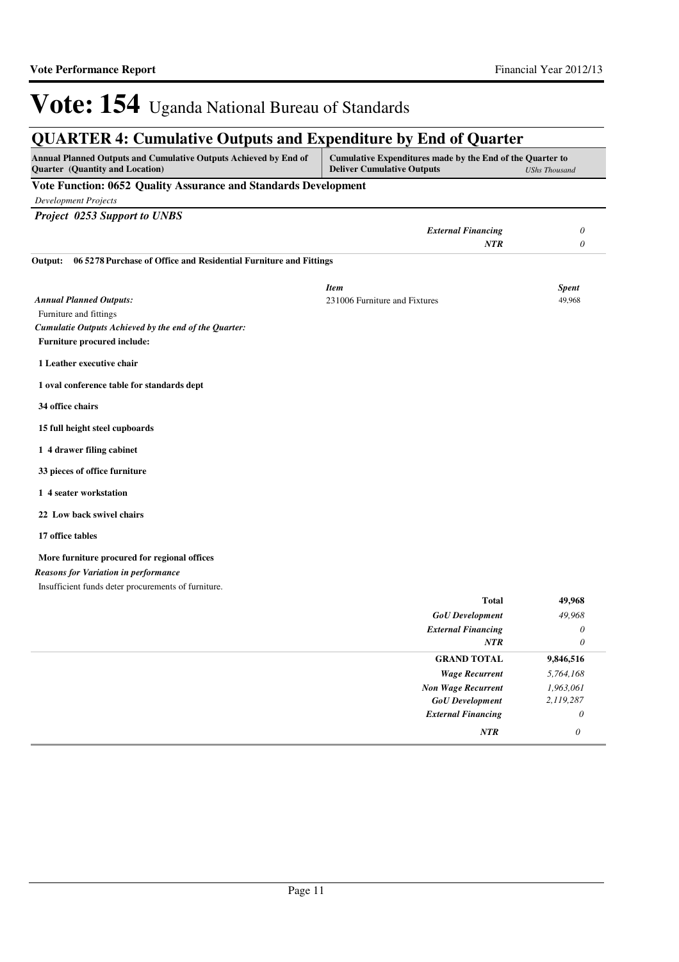*NTR 0*

# Vote: 154 Uganda National Bureau of Standards

# **QUARTER 4: Cumulative Outputs and Expenditure by End of Quarter**

| <b>Annual Planned Outputs and Cumulative Outputs Achieved by End of</b><br>Quarter (Quantity and Location) | Cumulative Expenditures made by the End of the Quarter to<br><b>Deliver Cumulative Outputs</b><br><b>UShs Thousand</b> |              |
|------------------------------------------------------------------------------------------------------------|------------------------------------------------------------------------------------------------------------------------|--------------|
| Vote Function: 0652 Quality Assurance and Standards Development                                            |                                                                                                                        |              |
| <b>Development Projects</b>                                                                                |                                                                                                                        |              |
| <b>Project 0253 Support to UNBS</b>                                                                        |                                                                                                                        |              |
|                                                                                                            | <b>External Financing</b>                                                                                              | $\theta$     |
|                                                                                                            | <b>NTR</b>                                                                                                             | $\theta$     |
| 06 5278 Purchase of Office and Residential Furniture and Fittings<br>Output:                               |                                                                                                                        |              |
|                                                                                                            | <b>Item</b>                                                                                                            | <b>Spent</b> |
| <b>Annual Planned Outputs:</b>                                                                             | 231006 Furniture and Fixtures                                                                                          | 49,968       |
| Furniture and fittings                                                                                     |                                                                                                                        |              |
| Cumulatie Outputs Achieved by the end of the Quarter:                                                      |                                                                                                                        |              |
| <b>Furniture procured include:</b>                                                                         |                                                                                                                        |              |
| 1 Leather executive chair                                                                                  |                                                                                                                        |              |
| 1 oval conference table for standards dept                                                                 |                                                                                                                        |              |
| 34 office chairs                                                                                           |                                                                                                                        |              |
| 15 full height steel cupboards                                                                             |                                                                                                                        |              |
| 1 4 drawer filing cabinet                                                                                  |                                                                                                                        |              |
| 33 pieces of office furniture                                                                              |                                                                                                                        |              |
| 1 4 seater workstation                                                                                     |                                                                                                                        |              |
| 22 Low back swivel chairs                                                                                  |                                                                                                                        |              |
| 17 office tables                                                                                           |                                                                                                                        |              |
| More furniture procured for regional offices                                                               |                                                                                                                        |              |
| <b>Reasons for Variation in performance</b>                                                                |                                                                                                                        |              |
| Insufficient funds deter procurements of furniture.                                                        |                                                                                                                        |              |
|                                                                                                            | Total                                                                                                                  | 49,968       |
|                                                                                                            | <b>GoU</b> Development                                                                                                 | 49,968       |
|                                                                                                            | <b>External Financing</b><br><b>NTR</b>                                                                                | 0<br>0       |
|                                                                                                            | <b>GRAND TOTAL</b>                                                                                                     | 9,846,516    |
|                                                                                                            | <b>Wage Recurrent</b>                                                                                                  | 5,764,168    |
|                                                                                                            | <b>Non Wage Recurrent</b>                                                                                              | 1,963,061    |
|                                                                                                            | <b>GoU</b> Development                                                                                                 | 2,119,287    |
|                                                                                                            | <b>External Financing</b>                                                                                              | $\theta$     |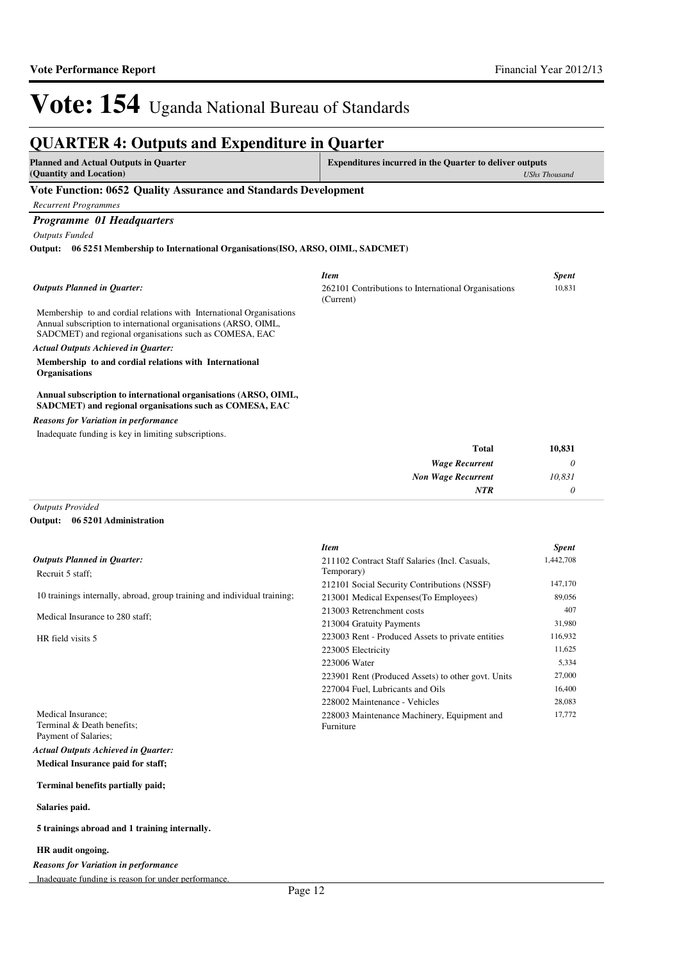*0*

*NTR*

# Vote: 154 Uganda National Bureau of Standards

#### **QUARTER 4: Outputs and Expenditure in Quarter Planned and Actual Outputs in Quarter (Quantity and Location) Expenditures incurred in the Quarter to deliver outputs**  *UShs Thousand* **Vote Function: 0652 Quality Assurance and Standards Development** *Recurrent Programmes Programme 01 Headquarters Outputs Funded* Membership to and cordial relations with International Organisations Annual subscription to international organisations (ARSO, OIML, SADCMET) and regional organisations such as COMESA, EAC **Membership to and cordial relations with International Organisations Annual subscription to international organisations (ARSO, OIML, SADCMET) and regional organisations such as COMESA, EAC 06 5251 Membership to International Organisations(ISO, ARSO, OIML, SADCMET) Output:** *Wage Recurrent Non Wage Recurrent* **Total** *0 10,831* **10,831** *Actual Outputs Achieved in Quarter: Outputs Planned in Quarter:* Inadequate funding is key in limiting subscriptions. *Reasons for Variation in performance Item Spent* 262101 Contributions to International Organisations (Current) 10,831

*Outputs Provided*

#### **06 5201 Administration Output:**

|                                                                          | <b>Item</b>                                        | <b>Spent</b> |
|--------------------------------------------------------------------------|----------------------------------------------------|--------------|
| <b>Outputs Planned in Ouarter:</b>                                       | 211102 Contract Staff Salaries (Incl. Casuals,     | 1,442,708    |
| Recruit 5 staff;                                                         | Temporary)                                         |              |
|                                                                          | 212101 Social Security Contributions (NSSF)        | 147,170      |
| 10 trainings internally, abroad, group training and individual training; | 213001 Medical Expenses (To Employees)             | 89,056       |
|                                                                          | 213003 Retrenchment costs                          | 407          |
| Medical Insurance to 280 staff:                                          | 213004 Gratuity Payments                           | 31,980       |
| HR field visits 5                                                        | 223003 Rent - Produced Assets to private entities  | 116,932      |
|                                                                          | 223005 Electricity                                 | 11,625       |
|                                                                          | 223006 Water                                       | 5,334        |
|                                                                          | 223901 Rent (Produced Assets) to other govt. Units | 27,000       |
|                                                                          | 227004 Fuel, Lubricants and Oils                   | 16,400       |
|                                                                          | 228002 Maintenance - Vehicles                      | 28,083       |
| Medical Insurance;                                                       | 228003 Maintenance Machinery, Equipment and        | 17,772       |
| Terminal & Death benefits;                                               | Furniture                                          |              |
| Payment of Salaries:                                                     |                                                    |              |

**Medical Insurance paid for staff;**  *Actual Outputs Achieved in Quarter:*

#### **Terminal benefits partially paid;**

#### **Salaries paid.**

#### **5 trainings abroad and 1 training internally.**

#### **HR audit ongoing.**

*Reasons for Variation in performance*

Inadequate funding is reason for under performance.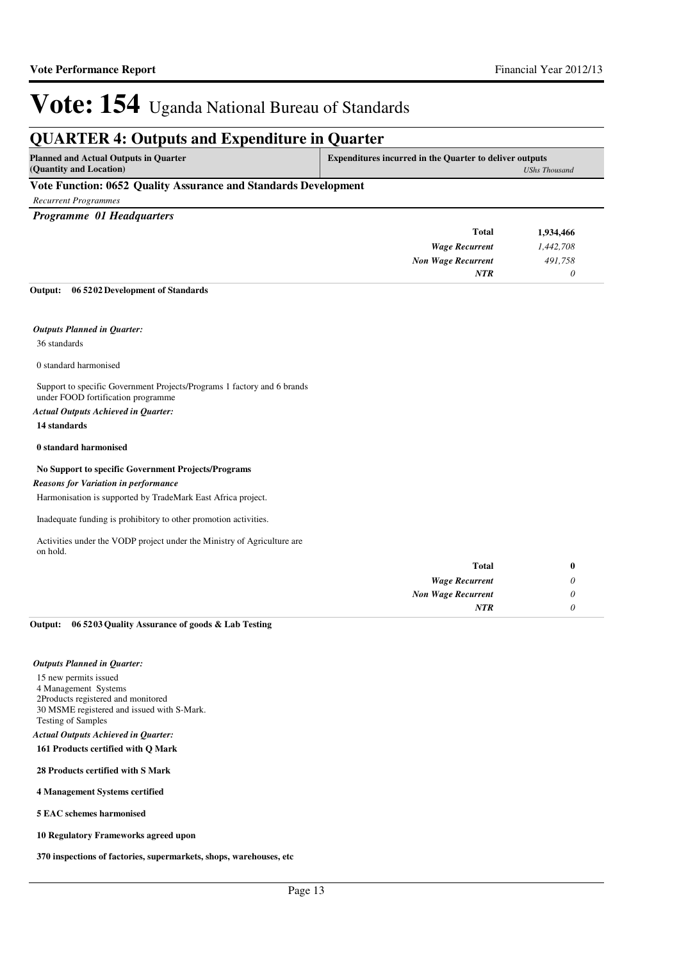*UShs Thousand*

# Vote: 154 Uganda National Bureau of Standards

# **QUARTER 4: Outputs and Expenditure in Quarter**

| <b>Planned and Actual Outputs in Quarter</b> | <b>Expenditures incurred in the Quarter to deliver outputs</b> |
|----------------------------------------------|----------------------------------------------------------------|
| (Quantity and Location)                      | UShsT                                                          |

### **Vote Function: 0652 Quality Assurance and Standards Development**

*Recurrent Programmes*

*Programme 01 Headquarters*

| 1,934,466 | <b>Total</b>              |
|-----------|---------------------------|
| 1,442,708 | <b>Wage Recurrent</b>     |
| 491,758   | <b>Non Wage Recurrent</b> |
|           | <b>NTR</b>                |
|           |                           |

#### **06 5202 Development of Standards Output:**

#### *Outputs Planned in Quarter:*

36 standards

0 standard harmonised

Support to specific Government Projects/Programs 1 factory and 6 brands under FOOD fortification programme

#### *Actual Outputs Achieved in Quarter:*

**14 standards**

#### **0 standard harmonised**

#### **No Support to specific Government Projects/Programs**

#### *Reasons for Variation in performance*

Harmonisation is supported by TradeMark East Africa project.

Inadequate funding is prohibitory to other promotion activities.

Activities under the VODP project under the Ministry of Agriculture are on hold.

| Total                     | u |
|---------------------------|---|
| <b>Wage Recurrent</b>     |   |
| <b>Non Wage Recurrent</b> |   |
| <b>NTR</b>                |   |

#### **06 5203 Quality Assurance of goods & Lab Testing Output:**

#### *Outputs Planned in Quarter:*

15 new permits issued 4 Management Systems 2Products registered and monitored 30 MSME registered and issued with S-Mark. Testing of Samples *Actual Outputs Achieved in Quarter:*

#### **161 Products certified with Q Mark**

#### **28 Products certified with S Mark**

#### **4 Management Systems certified**

**5 EAC schemes harmonised**

#### **10 Regulatory Frameworks agreed upon**

**370 inspections of factories, supermarkets, shops, warehouses, etc**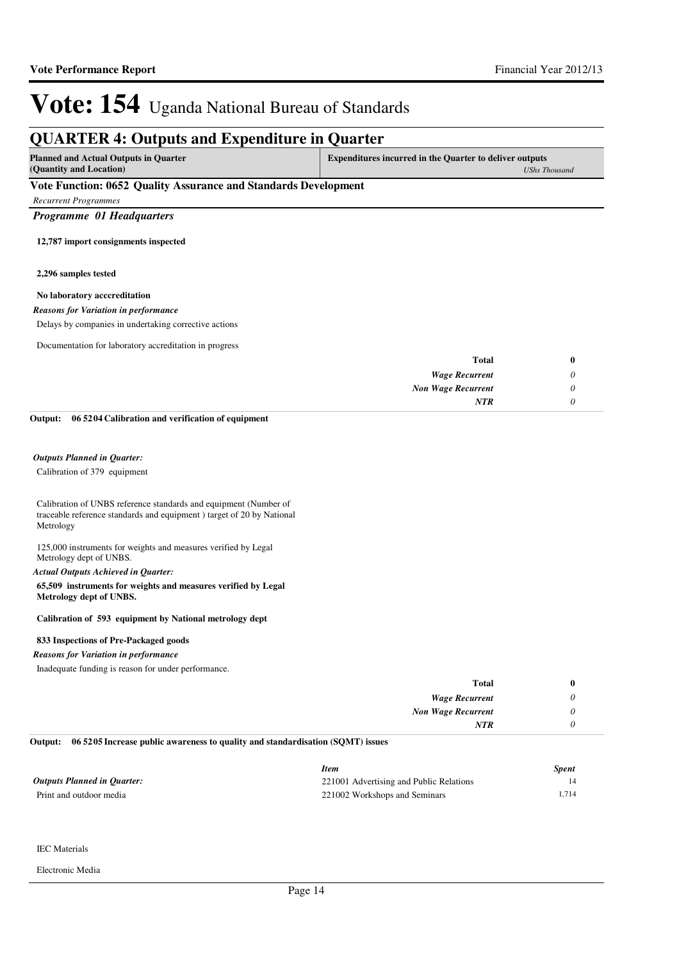### **QUARTER 4: Outputs and Expenditure in Quarter Planned and Actual Outputs in Quarter (Quantity and Location) Expenditures incurred in the Quarter to deliver outputs**  *UShs Thousand* **Vote Function: 0652 Quality Assurance and Standards Development** *Recurrent Programmes Programme 01 Headquarters* **12,787 import consignments inspected 2,296 samples tested No laboratory acccreditation** *Wage Recurrent Non Wage Recurrent* **Total** *0 0 0* **0** *NTR* Delays by companies in undertaking corrective actions Documentation for laboratory accreditation in progress *Reasons for Variation in performance* Calibration of 379 equipment **06 5204 Calibration and verification of equipment** *Outputs Planned in Quarter:* **Output:**

Calibration of UNBS reference standards and equipment (Number of traceable reference standards and equipment ) target of 20 by National Metrology

125,000 instruments for weights and measures verified by Legal Metrology dept of UNBS.

#### *Actual Outputs Achieved in Quarter:*

**65,509 instruments for weights and measures verified by Legal Metrology dept of UNBS.**

#### **Calibration of 593 equipment by National metrology dept**

#### **833 Inspections of Pre-Packaged goods**

### *Reasons for Variation in performance*

Inadequate funding is reason for under performance.

| <b>Total</b>              |
|---------------------------|
| <b>Wage Recurrent</b>     |
| <b>Non Wage Recurrent</b> |
| <b>NTR</b>                |
|                           |

#### **06 5205 Increase public awareness to quality and standardisation (SQMT) issues Output:**

|                                    | Item                                    | Spent |
|------------------------------------|-----------------------------------------|-------|
| <b>Outputs Planned in Quarter:</b> | 221001 Advertising and Public Relations |       |
| Print and outdoor media            | 221002 Workshops and Seminars           | 1.714 |

### IEC Materials

Electronic Media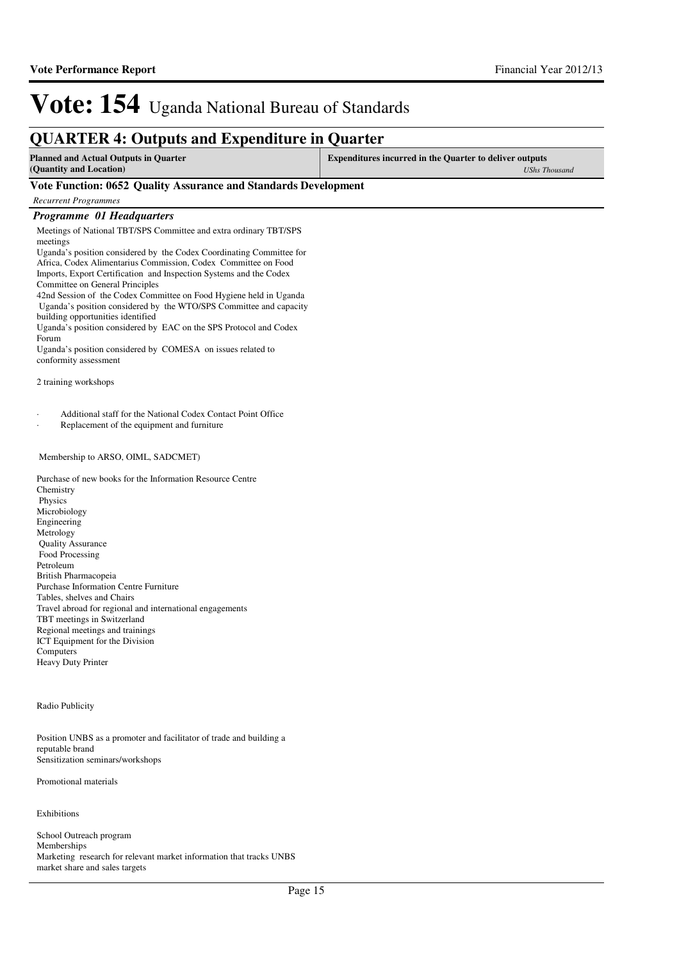## **QUARTER 4: Outputs and Expenditure in Quarter**

**Planned and Actual Outputs in Quarter (Quantity and Location)**

**Expenditures incurred in the Quarter to deliver outputs**  *UShs Thousand*

### **Vote Function: 0652 Quality Assurance and Standards Development**

*Recurrent Programmes*

#### *Programme 01 Headquarters*

Meetings of National TBT/SPS Committee and extra ordinary TBT/SPS meetings

Uganda's position considered by the Codex Coordinating Committee for Africa, Codex Alimentarius Commission, Codex Committee on Food Imports, Export Certification and Inspection Systems and the Codex Committee on General Principles 42nd Session of the Codex Committee on Food Hygiene held in Uganda

 Uganda's position considered by the WTO/SPS Committee and capacity building opportunities identified

Uganda's position considered by EAC on the SPS Protocol and Codex Forum

Uganda's position considered by COMESA on issues related to conformity assessment

2 training workshops

Additional staff for the National Codex Contact Point Office

Replacement of the equipment and furniture

### Membership to ARSO, OIML, SADCMET)

Purchase of new books for the Information Resource Centre Chemistry Physics Microbiology Engineering Metrology Quality Assurance Food Processing Petroleum British Pharmacopeia Purchase Information Centre Furniture Tables, shelves and Chairs Travel abroad for regional and international engagements TBT meetings in Switzerland Regional meetings and trainings ICT Equipment for the Division **Computers** Heavy Duty Printer

#### Radio Publicity

Position UNBS as a promoter and facilitator of trade and building a reputable brand Sensitization seminars/workshops

Promotional materials

Exhibitions

School Outreach program Memberships Marketing research for relevant market information that tracks UNBS market share and sales targets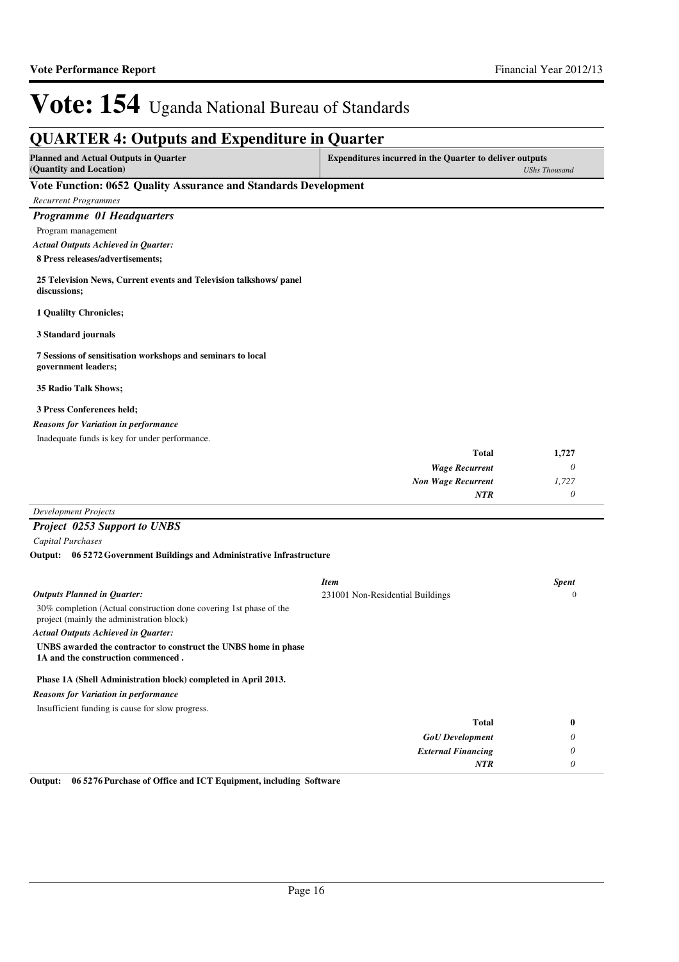# **QUARTER 4: Outputs and Expenditure in Quarter**

**Planned and Actual Outputs in Quarter (Quantity and Location) Expenditures incurred in the Quarter to deliver outputs**  *UShs Thousand*

### **Vote Function: 0652 Quality Assurance and Standards Development**

*Recurrent Programmes Programme 01 Headquarters* Program management

**8 Press releases/advertisements;** *Actual Outputs Achieved in Quarter:*

**25 Television News, Current events and Television talkshows/ panel discussions;**

**1 Qualilty Chronicles;**

**3 Standard journals**

**7 Sessions of sensitisation workshops and seminars to local government leaders;**

**35 Radio Talk Shows;**

#### **3 Press Conferences held;**

*Reasons for Variation in performance*

Inadequate funds is key for under performance.

|   | 1,727 | <b>Total</b>              |
|---|-------|---------------------------|
| U |       | <b>Wage Recurrent</b>     |
|   | 1,727 | <b>Non Wage Recurrent</b> |
|   |       | <b>NTR</b>                |
|   |       |                           |

# *Development Projects*

## *Project 0253 Support to UNBS*

*Capital Purchases*

**06 5272 Government Buildings and Administrative Infrastructure Output:**

|                                                                                                                 | <b>Item</b>                      | <b>Spent</b> |
|-----------------------------------------------------------------------------------------------------------------|----------------------------------|--------------|
| <b>Outputs Planned in Quarter:</b>                                                                              | 231001 Non-Residential Buildings | $\Omega$     |
| 30% completion (Actual construction done covering 1st phase of the<br>project (mainly the administration block) |                                  |              |
| <b>Actual Outputs Achieved in Ouarter:</b>                                                                      |                                  |              |
| UNBS awarded the contractor to construct the UNBS home in phase<br>1A and the construction commenced.           |                                  |              |
| Phase 1A (Shell Administration block) completed in April 2013.                                                  |                                  |              |
| <b>Reasons for Variation in performance</b>                                                                     |                                  |              |
| Insufficient funding is cause for slow progress.                                                                |                                  |              |
|                                                                                                                 | <b>Total</b>                     | $\bf{0}$     |
|                                                                                                                 | <b>GoU</b> Development           | 0            |
|                                                                                                                 | <b>External Financing</b>        | 0            |
|                                                                                                                 | NTR                              | 0            |

**Output: 06 5276 Purchase of Office and ICT Equipment, including Software**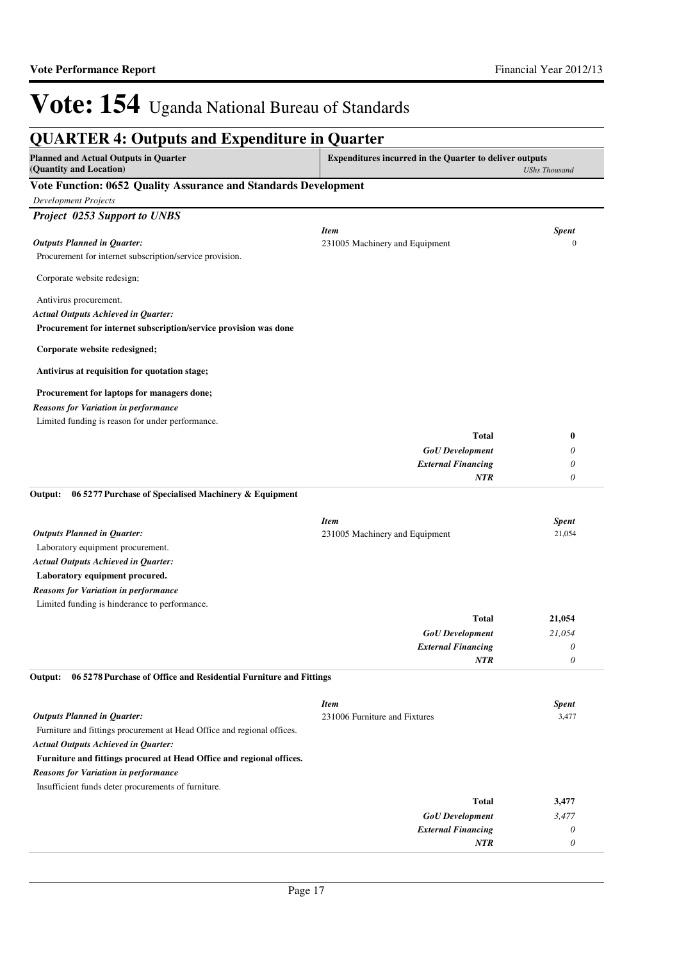| <b>Planned and Actual Outputs in Quarter</b>                                 | <b>Expenditures incurred in the Quarter to deliver outputs</b> |                      |
|------------------------------------------------------------------------------|----------------------------------------------------------------|----------------------|
| (Quantity and Location)                                                      |                                                                | <b>UShs Thousand</b> |
| Vote Function: 0652 Quality Assurance and Standards Development              |                                                                |                      |
| <b>Development Projects</b>                                                  |                                                                |                      |
| <b>Project 0253 Support to UNBS</b>                                          |                                                                |                      |
|                                                                              | <b>Item</b>                                                    | <b>Spent</b>         |
| <b>Outputs Planned in Quarter:</b>                                           | 231005 Machinery and Equipment                                 | $\mathbf{0}$         |
| Procurement for internet subscription/service provision.                     |                                                                |                      |
| Corporate website redesign;                                                  |                                                                |                      |
| Antivirus procurement.                                                       |                                                                |                      |
| <b>Actual Outputs Achieved in Quarter:</b>                                   |                                                                |                      |
| Procurement for internet subscription/service provision was done             |                                                                |                      |
| Corporate website redesigned;                                                |                                                                |                      |
| Antivirus at requisition for quotation stage;                                |                                                                |                      |
| Procurement for laptops for managers done;                                   |                                                                |                      |
| <b>Reasons for Variation in performance</b>                                  |                                                                |                      |
| Limited funding is reason for under performance.                             |                                                                |                      |
|                                                                              | <b>Total</b>                                                   | $\bf{0}$             |
|                                                                              | <b>GoU</b> Development                                         | 0                    |
|                                                                              | <b>External Financing</b>                                      | 0                    |
|                                                                              | <b>NTR</b>                                                     | 0                    |
| 06 5277 Purchase of Specialised Machinery & Equipment<br>Output:             | <b>Item</b>                                                    | <b>Spent</b>         |
| <b>Outputs Planned in Quarter:</b>                                           | 231005 Machinery and Equipment                                 | 21,054               |
| Laboratory equipment procurement.                                            |                                                                |                      |
| <b>Actual Outputs Achieved in Quarter:</b><br>Laboratory equipment procured. |                                                                |                      |
| <b>Reasons for Variation in performance</b>                                  |                                                                |                      |
| Limited funding is hinderance to performance.                                |                                                                |                      |
|                                                                              | Total                                                          | 21,054               |
|                                                                              | <b>GoU</b> Development                                         | 21,054               |
|                                                                              | <b>External Financing</b>                                      | 0                    |
|                                                                              | NTR                                                            | 0                    |
| Output:<br>06 5278 Purchase of Office and Residential Furniture and Fittings |                                                                |                      |
|                                                                              | <b>Item</b>                                                    | <b>Spent</b>         |
| <b>Outputs Planned in Quarter:</b>                                           | 231006 Furniture and Fixtures                                  | 3,477                |
| Furniture and fittings procurement at Head Office and regional offices.      |                                                                |                      |
| <b>Actual Outputs Achieved in Quarter:</b>                                   |                                                                |                      |
| Furniture and fittings procured at Head Office and regional offices.         |                                                                |                      |
| <b>Reasons for Variation in performance</b>                                  |                                                                |                      |
| Insufficient funds deter procurements of furniture.                          |                                                                |                      |
|                                                                              | <b>Total</b>                                                   | 3,477                |
|                                                                              | <b>GoU</b> Development                                         | 3,477                |
|                                                                              | <b>External Financing</b>                                      | 0                    |
|                                                                              | NTR                                                            | 0                    |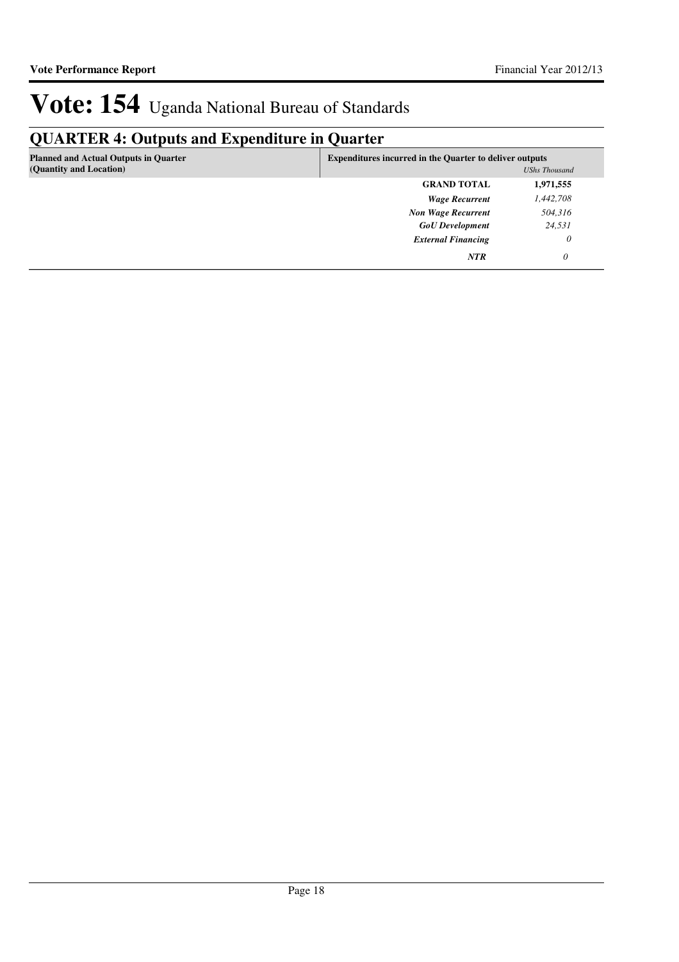# **QUARTER 4: Outputs and Expenditure in Quarter**

| <b>Planned and Actual Outputs in Quarter</b><br>(Quantity and Location) | <b>Expenditures incurred in the Quarter to deliver outputs</b><br><b>UShs Thousand</b> |           |
|-------------------------------------------------------------------------|----------------------------------------------------------------------------------------|-----------|
|                                                                         | <b>GRAND TOTAL</b>                                                                     | 1,971,555 |
|                                                                         | <b>Wage Recurrent</b>                                                                  | 1,442,708 |
|                                                                         | <b>Non Wage Recurrent</b>                                                              | 504,316   |
|                                                                         | <b>GoU</b> Development                                                                 | 24,531    |
|                                                                         | <b>External Financing</b>                                                              | 0         |
|                                                                         | <b>NTR</b>                                                                             | $\theta$  |